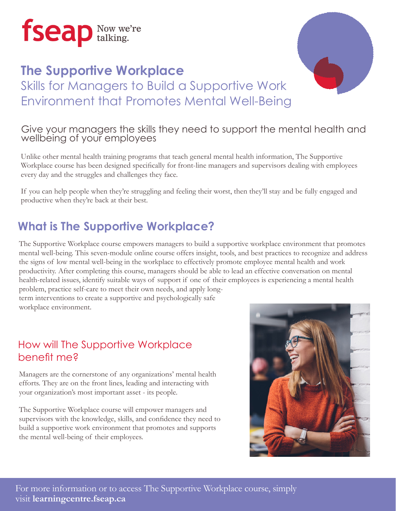

## **The Supportive Workplace** Skills for Managers to Build a Supportive Work Environment that Promotes Mental Well-Being



Unlike other mental health training programs that teach general mental health information, The Supportive Workplace course has been designed specifically for front-line managers and supervisors dealing with employees every day and the struggles and challenges they face.

If you can help people when they're struggling and feeling their worst, then they'll stay and be fully engaged and productive when they're back at their best.

### **What is The Supportive Workplace?**

The Supportive Workplace course empowers managers to build a supportive workplace environment that promotes mental well-being. This seven-module online course offers insight, tools, and best practices to recognize and address the signs of low mental well-being in the workplace to effectively promote employee mental health and work productivity. After completing this course, managers should be able to lead an effective conversation on mental health-related issues, identify suitable ways of support if one of their employees is experiencing a mental health

problem, practice self-care to meet their own needs, and apply longterm interventions to create a supportive and psychologically safe workplace environment.

#### How will The Supportive Workplace benefit me?

Managers are the cornerstone of any organizations' mental health efforts. They are on the front lines, leading and interacting with your organization's most important asset - its people.

The Supportive Workplace course will empower managers and supervisors with the knowledge, skills, and confidence they need to build a supportive work environment that promotes and supports the mental well-being of their employees.